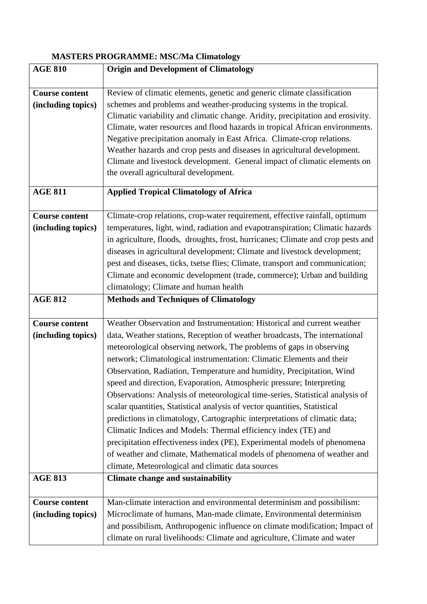## **MASTERS PROGRAMME: MSC/Ma Climatology**

| <b>AGE 810</b>                              | <b>Origin and Development of Climatology</b>                                                                                                                                                                                                                                                                                                                                                                                                                                                                                                                                                                                                                                                                                                                                                                                                                                                                                                                                    |
|---------------------------------------------|---------------------------------------------------------------------------------------------------------------------------------------------------------------------------------------------------------------------------------------------------------------------------------------------------------------------------------------------------------------------------------------------------------------------------------------------------------------------------------------------------------------------------------------------------------------------------------------------------------------------------------------------------------------------------------------------------------------------------------------------------------------------------------------------------------------------------------------------------------------------------------------------------------------------------------------------------------------------------------|
|                                             |                                                                                                                                                                                                                                                                                                                                                                                                                                                                                                                                                                                                                                                                                                                                                                                                                                                                                                                                                                                 |
| <b>Course content</b><br>(including topics) | Review of climatic elements, genetic and generic climate classification<br>schemes and problems and weather-producing systems in the tropical.<br>Climatic variability and climatic change. Aridity, precipitation and erosivity.<br>Climate, water resources and flood hazards in tropical African environments.<br>Negative precipitation anomaly in East Africa. Climate-crop relations.<br>Weather hazards and crop pests and diseases in agricultural development.<br>Climate and livestock development. General impact of climatic elements on                                                                                                                                                                                                                                                                                                                                                                                                                            |
|                                             | the overall agricultural development.                                                                                                                                                                                                                                                                                                                                                                                                                                                                                                                                                                                                                                                                                                                                                                                                                                                                                                                                           |
| <b>AGE 811</b>                              | <b>Applied Tropical Climatology of Africa</b>                                                                                                                                                                                                                                                                                                                                                                                                                                                                                                                                                                                                                                                                                                                                                                                                                                                                                                                                   |
| <b>Course content</b><br>(including topics) | Climate-crop relations, crop-water requirement, effective rainfall, optimum<br>temperatures, light, wind, radiation and evapotranspiration; Climatic hazards<br>in agriculture, floods, droughts, frost, hurricanes; Climate and crop pests and<br>diseases in agricultural development; Climate and livestock development;<br>pest and diseases, ticks, tsetse flies; Climate, transport and communication;<br>Climate and economic development (trade, commerce); Urban and building<br>climatology; Climate and human health                                                                                                                                                                                                                                                                                                                                                                                                                                                 |
| <b>AGE 812</b>                              | <b>Methods and Techniques of Climatology</b>                                                                                                                                                                                                                                                                                                                                                                                                                                                                                                                                                                                                                                                                                                                                                                                                                                                                                                                                    |
| <b>Course content</b><br>(including topics) | Weather Observation and Instrumentation: Historical and current weather<br>data, Weather stations, Reception of weather broadcasts, The international<br>meteorological observing network, The problems of gaps in observing<br>network; Climatological instrumentation: Climatic Elements and their<br>Observation, Radiation, Temperature and humidity, Precipitation, Wind<br>speed and direction, Evaporation, Atmospheric pressure; Interpreting<br>Observations: Analysis of meteorological time-series, Statistical analysis of<br>scalar quantities, Statistical analysis of vector quantities, Statistical<br>predictions in climatology, Cartographic interpretations of climatic data;<br>Climatic Indices and Models: Thermal efficiency index (TE) and<br>precipitation effectiveness index (PE), Experimental models of phenomena<br>of weather and climate, Mathematical models of phenomena of weather and<br>climate, Meteorological and climatic data sources |
| <b>AGE 813</b>                              | <b>Climate change and sustainability</b>                                                                                                                                                                                                                                                                                                                                                                                                                                                                                                                                                                                                                                                                                                                                                                                                                                                                                                                                        |
| <b>Course content</b><br>(including topics) | Man-climate interaction and environmental determinism and possibilism:<br>Microclimate of humans, Man-made climate, Environmental determinism<br>and possibilism, Anthropogenic influence on climate modification; Impact of<br>climate on rural livelihoods: Climate and agriculture, Climate and water                                                                                                                                                                                                                                                                                                                                                                                                                                                                                                                                                                                                                                                                        |